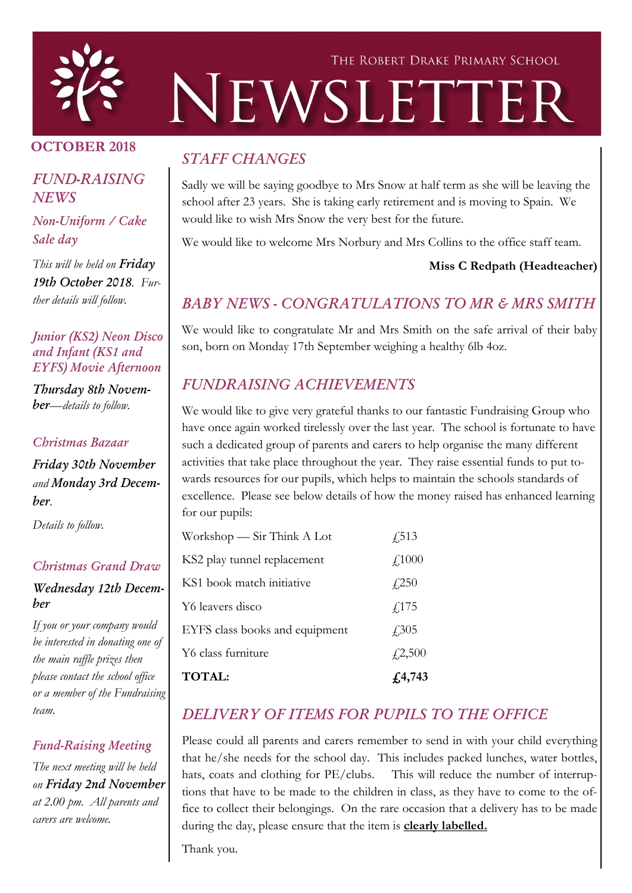

# THE ROBERT DRAKE PRIMARY SCHOOL NEWSLETTER

#### OCTOBER 2018

#### *FUND-RAISING NEWS*

*Non-Uniform / Cake Sale day*

*This will be held on Friday 19th October 2018. Further details will follow.* 

#### *Junior (KS2) Neon Disco and Infant (KS1 and EYFS) Movie Afternoon*

*Thursday 8th November—details to follow.*

#### *Christmas Bazaar*

*Friday 30th November and Monday 3rd December.*

*Details to follow.*

#### *Christmas Grand Draw*

#### *Wednesday 12th December*

*If you or your company would be interested in donating one of the main raffle prizes then please contact the school office or a member of the Fundraising team.*

#### *Fund-Raising Meeting*

*The next meeting will be held on Friday 2nd November at 2.00 pm. All parents and carers are welcome.*

# *STAFF CHANGES*

Sadly we will be saying goodbye to Mrs Snow at half term as she will be leaving the school after 23 years. She is taking early retirement and is moving to Spain. We would like to wish Mrs Snow the very best for the future.

We would like to welcome Mrs Norbury and Mrs Collins to the office staff team.

#### Miss C Redpath (Headteacher)

# *BABY NEWS - CONGRATULATIONS TO MR & MRS SMITH*

We would like to congratulate Mr and Mrs Smith on the safe arrival of their baby son, born on Monday 17th September weighing a healthy 6lb 4oz.

# *FUNDRAISING ACHIEVEMENTS*

We would like to give very grateful thanks to our fantastic Fundraising Group who have once again worked tirelessly over the last year. The school is fortunate to have such a dedicated group of parents and carers to help organise the many different activities that take place throughout the year. They raise essential funds to put towards resources for our pupils, which helps to maintain the schools standards of excellence. Please see below details of how the money raised has enhanced learning for our pupils:

| <b>TOTAL:</b>                  | f <sub>4</sub> ,743 |
|--------------------------------|---------------------|
| Y6 class furniture             | f2,500              |
| EYFS class books and equipment | $\sqrt{.305}$       |
| Y6 leavers disco               | f175                |
| KS1 book match initiative      | f(250)              |
| KS2 play tunnel replacement    | f1000               |
| $Workshop = Sir Think A Lot$   | $\sqrt{.513}$       |

## *DELIVERY OF ITEMS FOR PUPILS TO THE OFFICE*

Please could all parents and carers remember to send in with your child everything that he/she needs for the school day. This includes packed lunches, water bottles, hats, coats and clothing for PE/clubs. This will reduce the number of interruptions that have to be made to the children in class, as they have to come to the office to collect their belongings. On the rare occasion that a delivery has to be made during the day, please ensure that the item is **clearly labelled.** 

Thank you.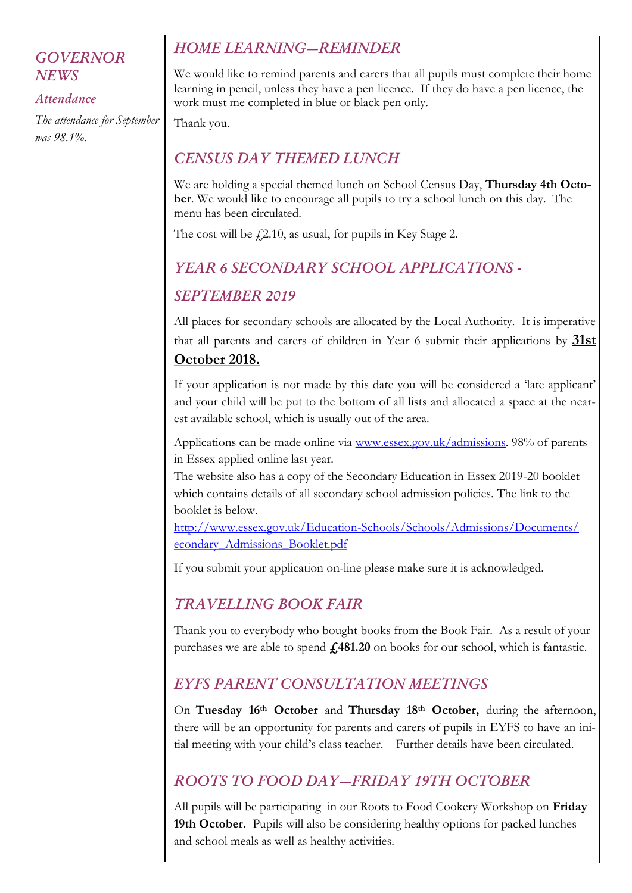#### *GOVERNOR NEWS*

#### *Attendance*

*The attendance for September was 98.1%.* 

# *HOME LEARNING—REMINDER*

We would like to remind parents and carers that all pupils must complete their home learning in pencil, unless they have a pen licence. If they do have a pen licence, the work must me completed in blue or black pen only.

Thank you.

# *CENSUS DAY THEMED LUNCH*

We are holding a special themed lunch on School Census Day, **Thursday 4th Octo**ber. We would like to encourage all pupils to try a school lunch on this day. The menu has been circulated.

The cost will be  $f(2.10)$ , as usual, for pupils in Key Stage 2.

#### *YEAR 6 SECONDARY SCHOOL APPLICATIONS -*

#### *SEPTEMBER 2019*

All places for secondary schools are allocated by the Local Authority. It is imperative that all parents and carers of children in Year 6 submit their applications by 31st

#### October 2018.

If your application is not made by this date you will be considered a 'late applicant' and your child will be put to the bottom of all lists and allocated a space at the nearest available school, which is usually out of the area.

Applications can be made online via [www.essex.gov.uk/admissions.](http://www.essex.gov.uk/admissions) 98% of parents in Essex applied online last year.

The website also has a copy of the Secondary Education in Essex 2019-20 booklet which contains details of all secondary school admission policies. The link to the booklet is below.

[http://www.essex.gov.uk/Education-Schools/Schools/Admissions/Documents/](http://www.essex.gov.uk/Education-Schools/Schools/Admissions/Documents/econdary_Admissions_Booklet.pdf) [econdary\\_Admissions\\_Booklet.pdf](http://www.essex.gov.uk/Education-Schools/Schools/Admissions/Documents/econdary_Admissions_Booklet.pdf)

If you submit your application on-line please make sure it is acknowledged.

## *TRAVELLING BOOK FAIR*

Thank you to everybody who bought books from the Book Fair. As a result of your purchases we are able to spend £481.20 on books for our school, which is fantastic.

#### *EYFS PARENT CONSULTATION MEETINGS*

On Tuesday 16th October and Thursday 18th October, during the afternoon, there will be an opportunity for parents and carers of pupils in EYFS to have an initial meeting with your child's class teacher. Further details have been circulated.

## *ROOTS TO FOOD DAY—FRIDAY 19TH OCTOBER*

All pupils will be participating in our Roots to Food Cookery Workshop on Friday 19th October. Pupils will also be considering healthy options for packed lunches and school meals as well as healthy activities.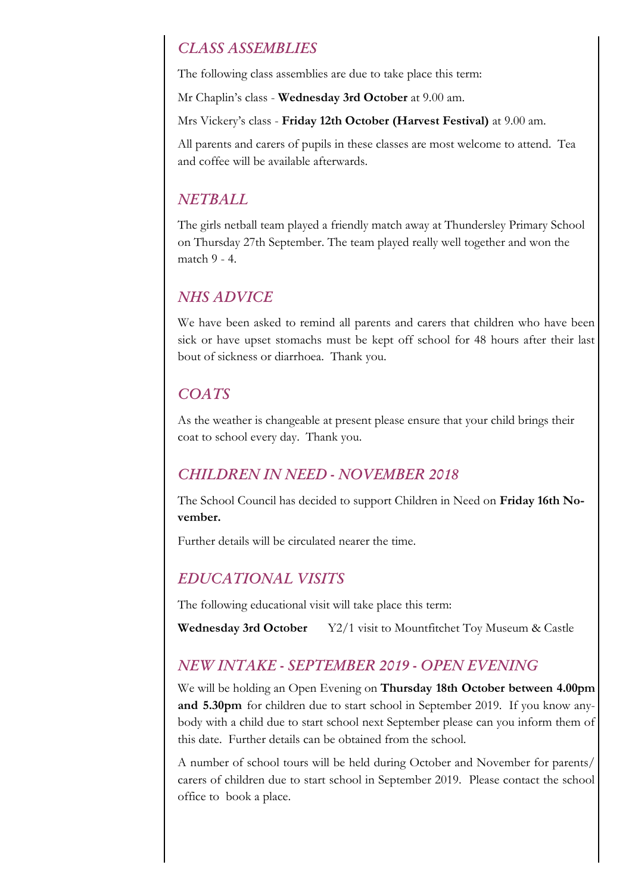#### *CLASS ASSEMBLIES*

The following class assemblies are due to take place this term:

Mr Chaplin's class - Wednesday 3rd October at 9.00 am.

Mrs Vickery's class - Friday 12th October (Harvest Festival) at 9.00 am.

All parents and carers of pupils in these classes are most welcome to attend. Tea and coffee will be available afterwards.

# *NETBALL*

The girls netball team played a friendly match away at Thundersley Primary School on Thursday 27th September. The team played really well together and won the match 9 - 4.

## *NHS ADVICE*

We have been asked to remind all parents and carers that children who have been sick or have upset stomachs must be kept off school for 48 hours after their last bout of sickness or diarrhoea. Thank you.

## *COATS*

As the weather is changeable at present please ensure that your child brings their coat to school every day. Thank you.

## *CHILDREN IN NEED - NOVEMBER 2018*

The School Council has decided to support Children in Need on Friday 16th November.

Further details will be circulated nearer the time.

## *EDUCATIONAL VISITS*

The following educational visit will take place this term:

Wednesday 3rd October Y2/1 visit to Mountfitchet Toy Museum & Castle

#### *NEW INTAKE - SEPTEMBER 2019 - OPEN EVENING*

We will be holding an Open Evening on Thursday 18th October between 4.00pm and 5.30pm for children due to start school in September 2019. If you know anybody with a child due to start school next September please can you inform them of this date. Further details can be obtained from the school.

A number of school tours will be held during October and November for parents/ carers of children due to start school in September 2019. Please contact the school office to book a place.